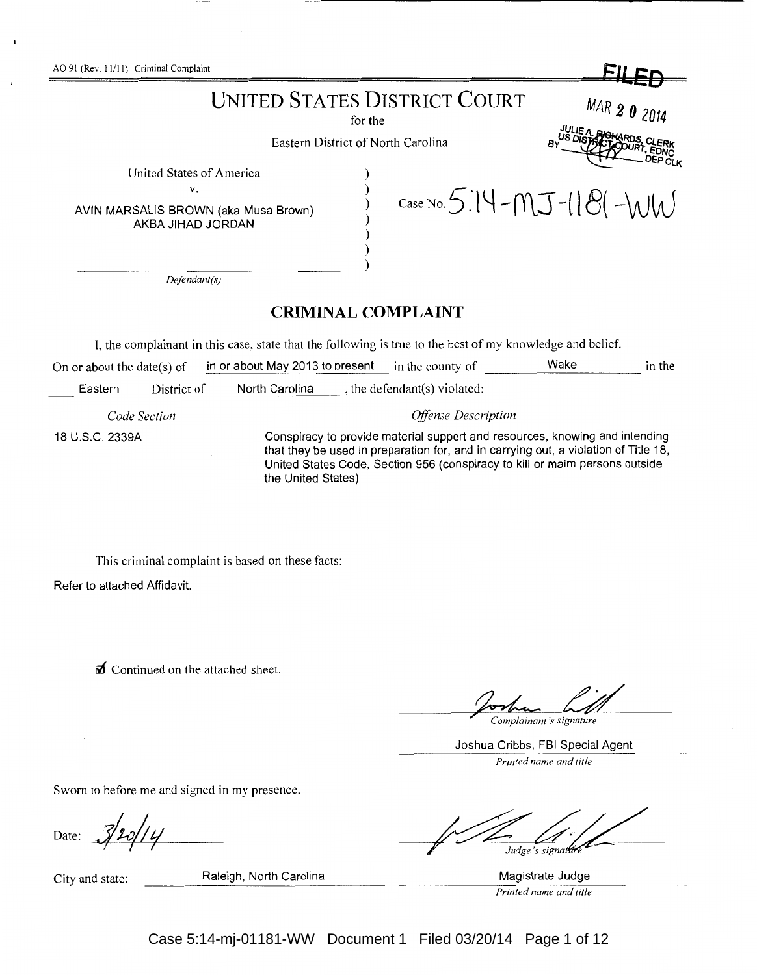AO 91 (Rev. 11/11) Criminal Complaint **FileD** 

# UNITED STATES DISTRICT COURT MAR  $\bm{2} \bm{0}$   $\frac{\text{MAR}}{\text{d}t}$

Eastern District of North Carolina

) ) ) ) ) ) )

United States of America

V.

AVIN MARSALIS BROWN (aka Musa Brown) AKBA JIHAD JORDAN

*Defendant(s)* 

## **CRIMINAL COMPLAINT**

I, the complainant in this case, state that the following is true to the best of my knowledge and belief.

On or about the date(s) of in or about May 2013 to present in the county of Wake in the in the

Eastern District of North Carolina , the defendant(s) violated:

*Code Section* 

*Offense Description* 

 $C$ ase No. 5.14 - $MJ$  -( $|8$ ( - $W$ 

18 U.S.C. 2339A

Conspiracy to provide material support and resources, knowing and intending that they be used in preparation for, and in carrying out, a violation of Title 18, United States Code, Section 956 (conspiracy to kill or maim persons outside the United States)

This criminal complaint is based on these facts:

Refer to attached Affidavit.

**till** Continued on the attached sheet.

Complainant's signature

*R* ,EONc DEP CLK

Joshua Cribbs, FBI Special Agent *Printed name and title* 

Sworn to before me and signed in my presence.

Date:  $3/20/14$ 

City and state: Raleigh, North Carolina **Magistrate Judge** Magistrate Judge

Judge's signatur

*Printed name and title* 

Case 5:14-mj-01181-WW Document 1 Filed 03/20/14 Page 1 of 12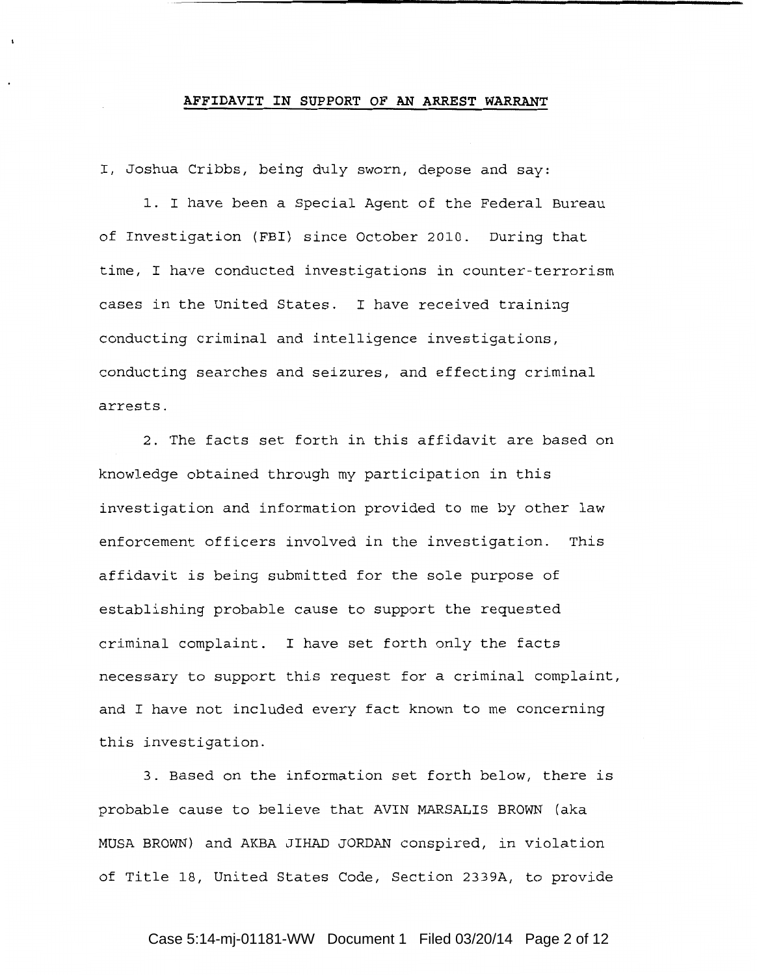#### **AFFIDAVIT IN SUPPORT OF AN ARREST WARRANT**

I, Joshua Cribbs, being duly sworn, depose and say:

1. I have been a Special Agent of the Federal Bureau of Investigation (FBI) since October 2010. During that time, I have conducted investigations in counter-terrorism cases in the United States. I have received training conducting criminal and intelligence investigations, conducting searches and seizures, and effecting criminal arrests.

2. The facts set forth in this affidavit are based on knowledge obtained through my participation in this investigation and information provided to me by other law enforcement officers involved in the investigation. This affidavit is being submitted for the sole purpose of establishing probable cause to support the requested criminal complaint. I have set forth only the facts necessary to support this request for a criminal complaint, and I have not included every fact known to me concerning this investigation.

3. Based on the information set forth below, there is probable cause to believe that AVIN MARSALIS BROWN (aka MUSA BROWN) and AKBA JIHAD JORDAN conspired, in violation of Title 18, United States Code, Section 2339A, to provide

## Case 5:14-mj-01181-WW Document 1 Filed 03/20/14 Page 2 of 12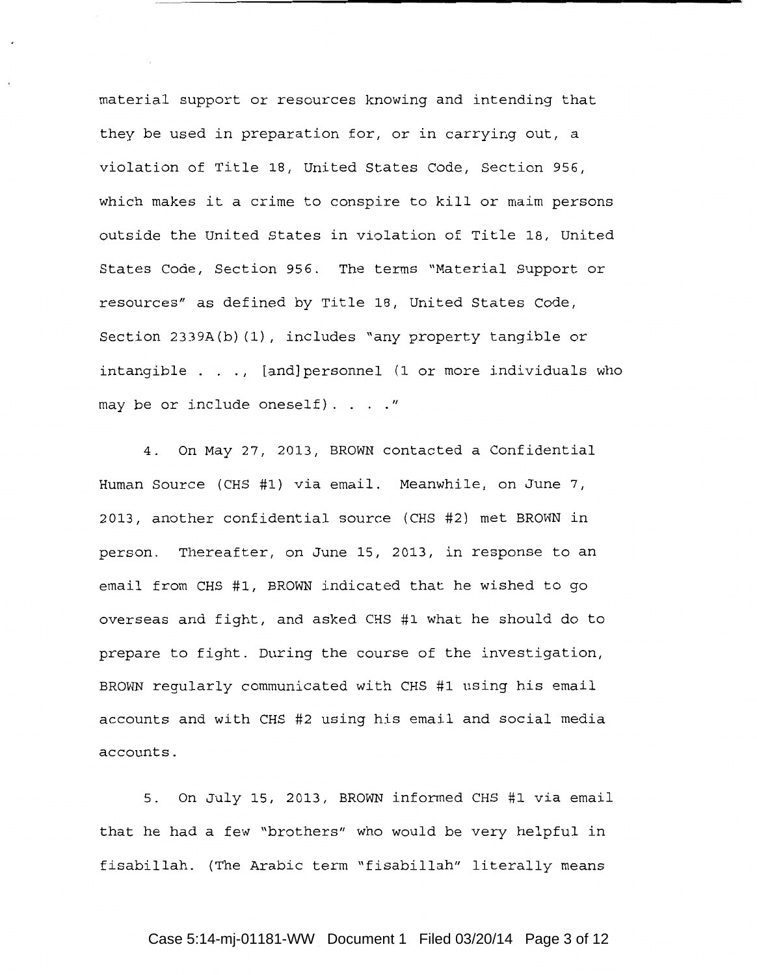material support or resources knowing and intending that they be used in preparation for, or in carrying out, a violation of Title 18, United States Code, Section 956, which makes it a crime to conspire to kill or maim persons outside the United States in violation of Title 18, United States Code, Section 956. The terms "Material Support or resources" as defined by Title 18, United States Code, Section 2339A(b) (1), includes "any property tangible or intangible  $\ldots$ , [and]personnel (1 or more individuals who may be or include oneself).  $\ldots$ ."

4. On May 27, 2013, BROWN contacted a Confidential Human Source (CHS #1) via email. Meanwhile, on June 7, 2013, another confidential source (CHS #2) met BROWN in person. Thereafter, on June 15, 2013, in response to an email from CHS #1, BROWN indicated that he wished to go overseas and fight, and asked CHS #1 what he should do to prepare to fight. During the course of the investigation, BROWN regularly communicated with CHS #1 using his email accounts and with CHS #2 using his email and social media accounts.

5. On July 15, 2013, BROWN informed CHS #1 via email that he had a few "brothers" who would be very helpful in fisabillah. (The Arabic term "fisabillah" literally means

#### Case 5:14-mj-01181-WW Document 1 Filed 03/20/14 Page 3 of 12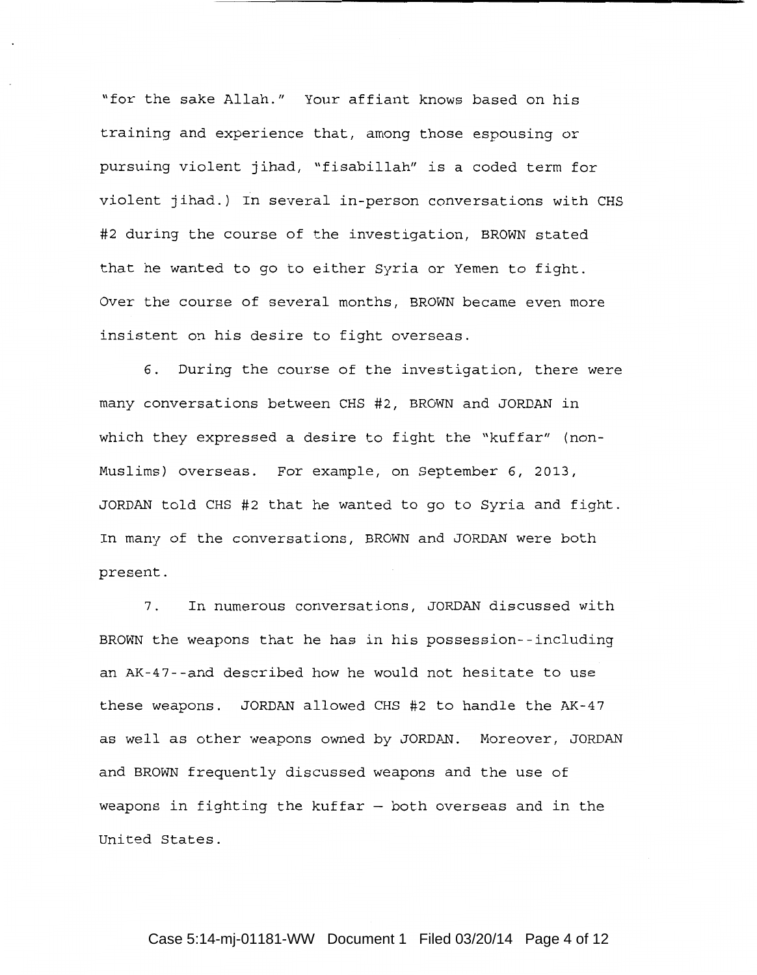"for the sake Allah." Your affiant knows based on his training and experience that, among those espousing or pursuing violent jihad, "fisabillah" is a coded term for violent jihad.) In several in-person conversations with CHS #2 during the course of the investigation, BROWN stated that he wanted to go to either Syria or Yemen to fight. Over the course of several months, BROWN became even more insistent on his desire to fight overseas.

6. During the course of the investigation, there were many conversations between CHS *#2,* BROWN and JORDAN in which they expressed a desire to fight the "kuffar" (non-Muslims) overseas. For example, on September 6, 2013, JORDAN told CHS #2 that he wanted to go to Syria and fight. In many of the conversations, BROWN and JORDAN were both present.

7. In numerous conversations, JORDAN discussed with BROWN the weapons that he has in his possession--including an AK-47--and described how he would not hesitate to use these weapons. JORDAN allowed CHS #2 to handle the AK-47 as well as other weapons owned by JORDAN. Moreover, JORDAN and BROWN frequently discussed weapons and the use of weapons in fighting the kuffar  $-$  both overseas and in the United States.

### Case 5:14-mj-01181-WW Document 1 Filed 03/20/14 Page 4 of 12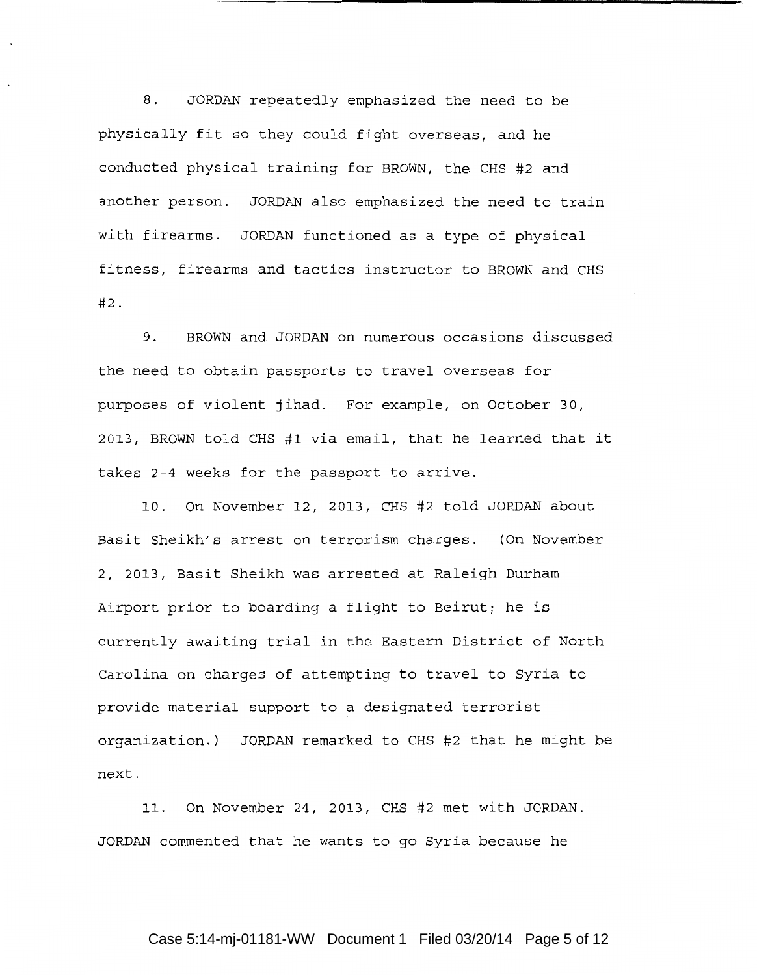8. JORDAN repeatedly emphasized the need to be physically fit so they could fight overseas, and he conducted physical training for BROWN, the CHS #2 and another person. JORDAN also emphasized the need to train with firearms. JORDAN functioned as a type of physical fitness, firearms and tactics instructor to BROWN and CHS #2.

9. BROWN and JORDAN on numerous occasions discussed the need to obtain passports to travel overseas for purposes of violent jihad. For example, on October 30, 2013, BROWN told CHS #1 via email, that he learned that it takes 2-4 weeks for the passport to arrive.

10. On November 12, 2013, CHS #2 told JORDAN about Basit Sheikh's arrest on terrorism charges. (On November 2, 2013, Basit Sheikh was arrested at Raleigh Durham Airport prior to boarding a flight to Beirut; he is currently awaiting trial in the Eastern District of North Carolina on charges of attempting to travel to Syria to provide material support to a designated terrorist organization.) JORDAN remarked to CHS #2 that he might be next.

11. On November 24, 2013, CHS #2 met with JORDAN. JORDAN commented that he wants to go Syria because he

## Case 5:14-mj-01181-WW Document 1 Filed 03/20/14 Page 5 of 12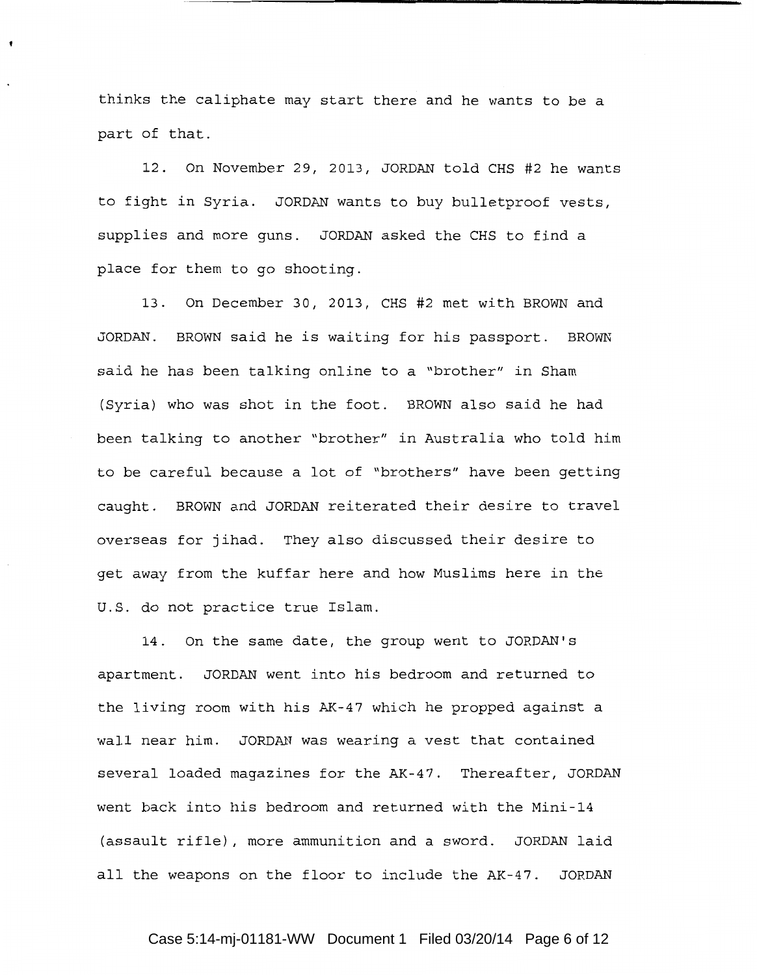thinks the caliphate may start there and he wants to be a part of that.

12. On November 29, 2013, JORDAN told CHS #2 he wants to fight in Syria. JORDAN wants to buy bulletproof vests, supplies and more guns. JORDAN asked the CHS to find a place for them to go shooting.

13. On December 30, 2013, CHS #2 met with BROWN and JORDAN. BROWN said he is waiting for his passport. BROWN said he has been talking online to a "brother" in Sham (Syria) who was shot in the foot. BROWN also said he had been talking to another "brother" in Australia who told him to be careful because a lot of "brothers" have been getting caught. BROWN and JORDAN reiterated their desire to travel overseas for jihad. They also discussed their desire to get away from the kuffar here and how Muslims here in the U.S. do not practice true Islam.

14. On the same date, the group went to JORDAN's apartment. JORDAN went into his bedroom and returned to the living room with his AK-47 which he propped against a wall near him. JORDAN was wearing a vest that contained several loaded magazines for the AK-47. Thereafter, JORDAN went back into his bedroom and returned with the Mini-14 (assault rifle), more ammunition and a sword. JORDAN laid all the weapons on the floor to include the AK-47. JORDAN

### Case 5:14-mj-01181-WW Document 1 Filed 03/20/14 Page 6 of 12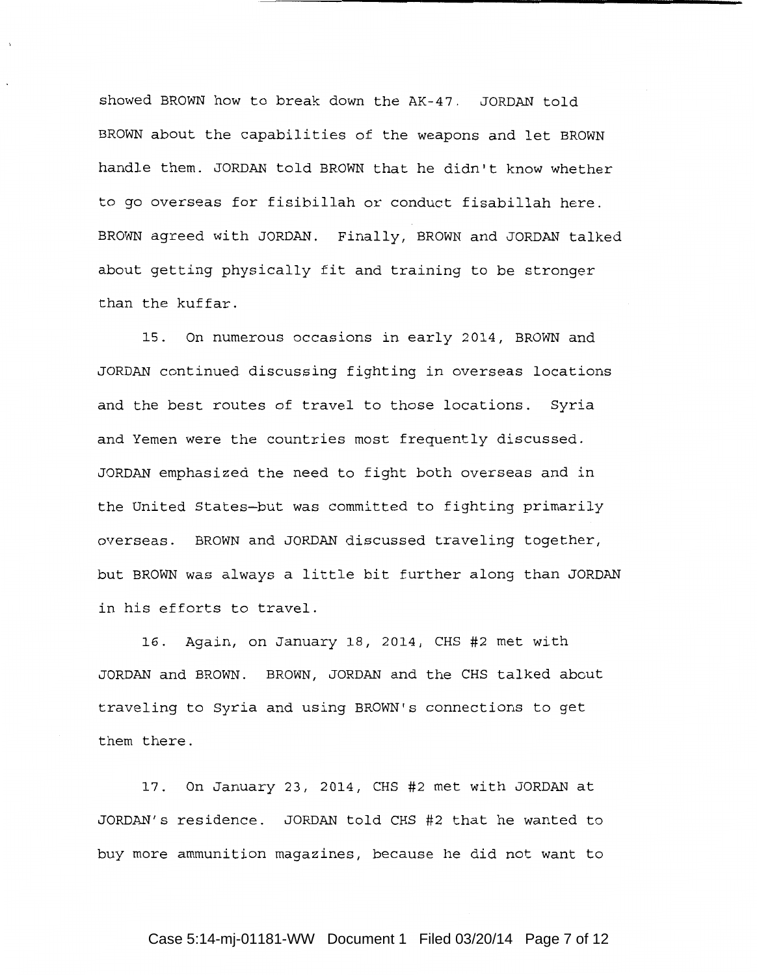showed BROWN how to break down the AK-47. JORDAN told BROWN about the capabilities of the weapons and let BROWN handle them. JORDAN told BROWN that he didn't know whether to go overseas for fisibillah or conduct fisabillah here. BROWN agreed with JORDAN. Finally, BROWN and JORDAN talked about getting physically fit and training to be stronger than the kuffar.

15. On numerous occasions in early 2014, BROWN and JORDAN continued discussing fighting in overseas locations and the best routes of travel to those locations. Syria and Yemen were the countries most frequently discussed. JORDAN emphasized the need to fight both overseas and in the United States-but was committed to fighting primarily overseas. BROWN and JORDAN discussed traveling together, but BROWN was always a little bit further along than JORDAN in his efforts to travel.

16. Again, on January 18, 2014, CHS #2 met with JORDAN and BROWN. BROWN, JORDAN and the CHS talked about traveling to Syria and using BROWN's connections to get them there.

17. On January 23, 2014, CHS #2 met with JORDAN at JORDAN's residence. JORDAN told CHS #2 that he wanted to buy more ammunition magazines, because he did not want to

#### Case 5:14-mj-01181-WW Document 1 Filed 03/20/14 Page 7 of 12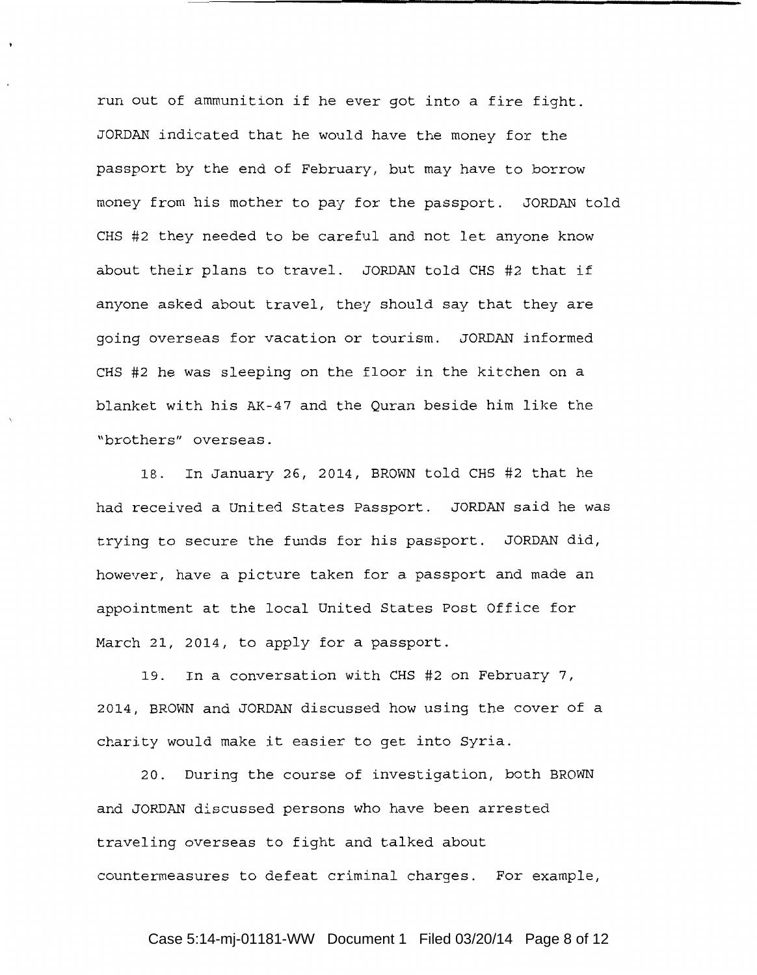run out of ammunition if he ever got into a fire fight. JORDAN indicated that he would have the money for the passport by the end of February, but may have to borrow money from his mother to pay for the passport. JORDAN told CHS #2 they needed to be careful and not let anyone know about their plans to travel. JORDAN told CHS #2 that if anyone asked about travel, they should say that they are going overseas for vacation or tourism. JORDAN informed CHS #2 he was sleeping on the floor in the kitchen on a blanket with his AK-47 and the Quran beside him like the "brothers" overseas.

18. In January 26, 2014, BROWN told CHS #2 that he had received a United States Passport. JORDAN said he was trying to secure the funds for his passport. JORDAN did, however, have a picture taken for a passport and made an appointment at the local United States Post Office for March 21, 2014, to apply for a passport.

19. In a conversation with CHS #2 on February 7, 2014, BROWN and JORDAN discussed how using the cover of a charity would make it easier to get into Syria.

20. During the course of investigation, both BROWN and JORDAN discussed persons who have been arrested traveling overseas to fight and talked about countermeasures to defeat criminal charges. For example,

## Case 5:14-mj-01181-WW Document 1 Filed 03/20/14 Page 8 of 12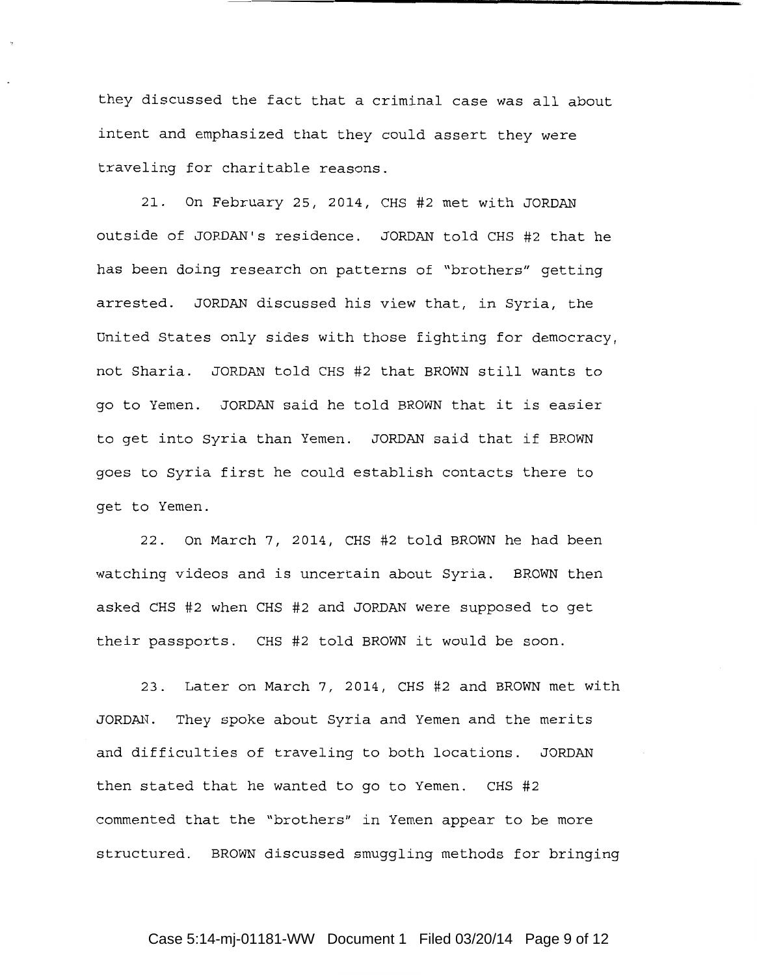they discussed the fact that a criminal case was all about intent and emphasized that they could assert they were traveling for charitable reasons.

21. On February 25, 2014, CHS #2 met with JORDAN outside of JORDAN's residence. JORDAN told CHS #2 that he has been doing research on patterns of "brothers" getting arrested. JORDAN discussed his view that, in Syria, the United States only sides with those fighting for democracy, not Sharia. JORDAN told CHS #2 that BROWN still wants to go to Yemen. JORDAN said he told BROWN that it is easier to get into Syria than Yemen. JORDAN said that if BROWN goes to Syria first he could establish contacts there to get to Yemen.

22. On March 7, 2014, CHS #2 told BROWN he had been watching videos and is uncertain about Syria. BROWN then asked CHS #2 when CHS #2 and JORDAN were supposed to get their passports. CHS #2 told BROWN it would be soon.

23. Later on March 7, 2014, CHS #2 and BROWN met with JORDAN. They spoke about Syria and Yemen and the merits and difficulties of traveling to both locations. JORDAN then stated that he wanted to go to Yemen. CHS #2 commented that the "brothers" in Yemen appear to be more structured. BROWN discussed smuggling methods for bringing

#### Case 5:14-mj-01181-WW Document 1 Filed 03/20/14 Page 9 of 12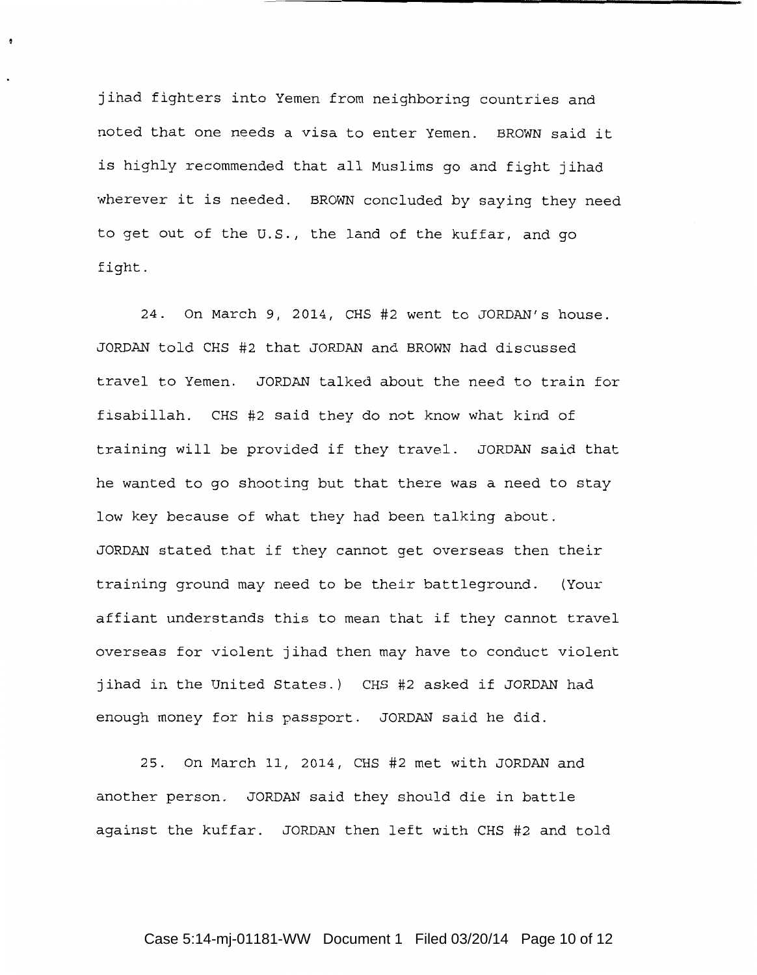jihad fighters into Yemen from neighboring countries and noted that one needs a visa to enter Yemen. BROWN said it is highly recommended that all Muslims go and fight jihad wherever it is needed. BROWN concluded by saying they need to get out of the U.S., the land of the kuffar, and go fight.

÷

24. On March 9, 2014, CHS #2 went to JORDAN's house. JORDAN told CHS #2 that JORDAN and BROWN had discussed travel to Yemen. JORDAN talked about the need to train for fisabillah. CHS #2 said they do not know what kind of training will be provided if they travel. JORDAN said that he wanted to go shooting but that there was a need to stay low key because of what they had been talking about. JORDAN stated that if they cannot get overseas then their training ground may need to be their battleground. (Your affiant understands this to mean that if they cannot travel overseas for violent jihad then may have to conduct violent jihad in the United States.) CHS #2 asked if JORDAN had enough money for his passport. JORDAN said he did.

25. On March 11, 2014, CHS #2 met with JORDAN and another person. JORDAN said they should die in battle against the kuffar. JORDAN then left with CHS #2 and told

### Case 5:14-mj-01181-WW Document 1 Filed 03/20/14 Page 10 of 12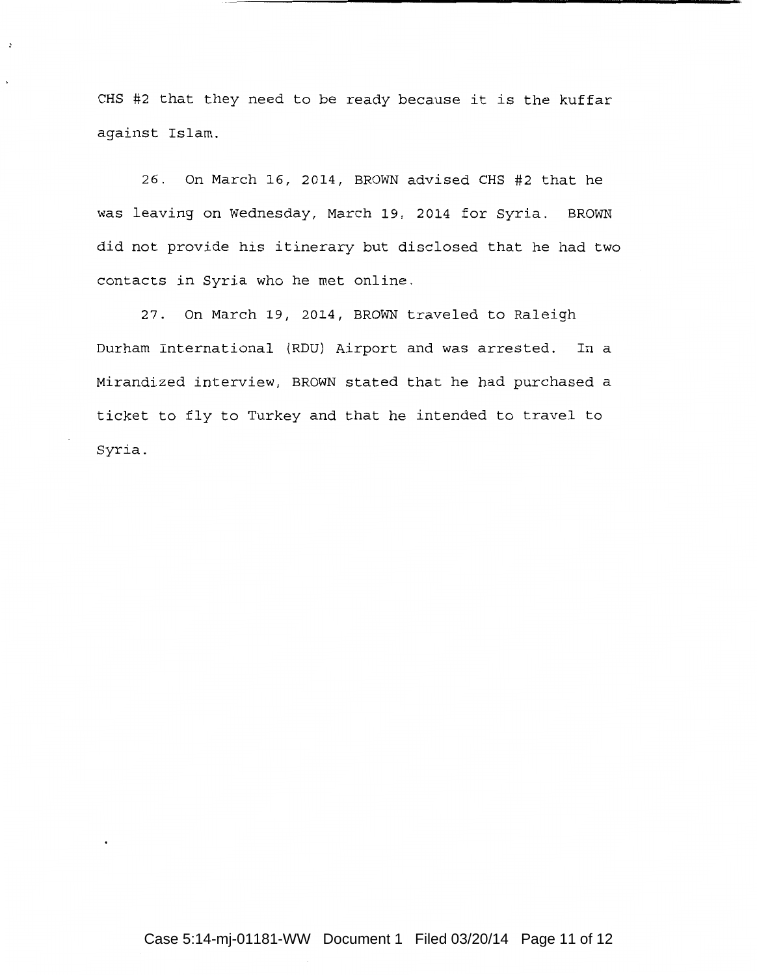CHS #2 that they need to be ready because it is the kuffar against Islam.

 $\cdot$ 

26. On March 16, 2014, BROWN advised CHS #2 that he was leaving on Wednesday, March 19, 2014 for Syria. BROWN did not provide his itinerary but disclosed that he had two contacts in Syria who he met online.

27. On March 19, 2014, BROWN traveled to Raleigh Durham International (RDU) Airport and was arrested. In a Mirandized interview, BROWN stated that he had purchased a ticket to fly to Turkey and that he intended to travel to Syria.